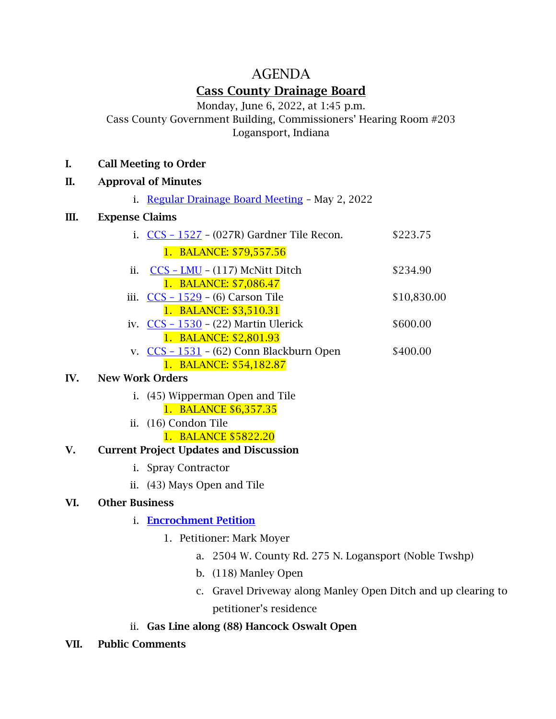# AGENDA Cass County Drainage Board

Monday, June 6, 2022, at 1:45 p.m.

Cass County Government Building, Commissioners' Hearing Room #203 Logansport, Indiana

#### I. Call Meeting to Order

#### II. Approval of Minutes

i. [Regular Drainage Board Meeting](MIKE/D.B%20Minutes%205.2.22.docx) – May 2, 2022

### III. Expense Claims

| i. $CCS - 1527 - (027R)$ Gardner Tile Recon. | \$223.75    |
|----------------------------------------------|-------------|
| 1. BALANCE: \$79,557.56                      |             |
| ii. $CCS - LMU - (117)$ McNitt Ditch         | \$234.90    |
| 1. BALANCE: \$7,086.47                       |             |
| iii. $CCS - 1529 - (6) Carson$ Tile          | \$10,830.00 |
| 1. BALANCE: \$3,510.31                       |             |
| iv. $CCS - 1530 - (22)$ Martin Ulerick       | \$600.00    |
| 1. BALANCE: \$2,801.93                       |             |
| v. $CCS - 1531 - (62)$ Conn Blackburn Open   | \$400.00    |
| 1. BALANCE: \$54,182.87                      |             |
|                                              |             |

## IV. New Work Orders

- i. (45) Wipperman Open and Tile 1. BALANCE \$6,357.35
- ii. (16) Condon Tile

### 1. BALANCE \$5822.20

## V. Current Project Updates and Discussion

- i. Spray Contractor
- ii. (43) Mays Open and Tile

## VI. Other Business

- i. [Encrochment Petition](Moyer%20Encroachment%20Sheets%20Open.pdf)
	- 1. Petitioner: Mark Moyer
		- a. 2504 W. County Rd. 275 N. Logansport (Noble Twshp)
		- b. (118) Manley Open
		- c. Gravel Driveway along Manley Open Ditch and up clearing to petitioner's residence
- ii. Gas Line along (88) Hancock Oswalt Open
- VII. Public Comments